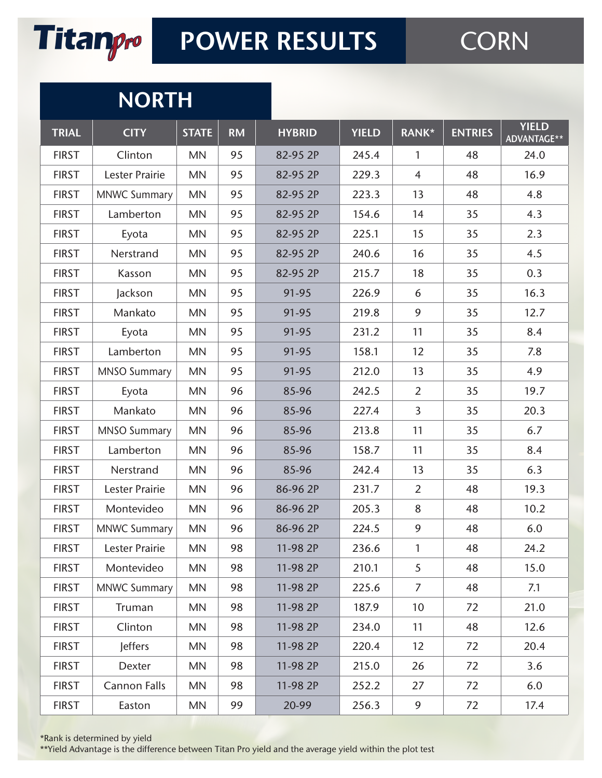

# **CORN**

#### **NORTH**

| <b>TRIAL</b> | <b>CITY</b>           | <b>STATE</b> | <b>RM</b> | <b>HYBRID</b> | <b>YIELD</b> | <b>RANK*</b>    | <b>ENTRIES</b> | <b>YIELD</b><br>ADVANTAGE** |
|--------------|-----------------------|--------------|-----------|---------------|--------------|-----------------|----------------|-----------------------------|
| <b>FIRST</b> | Clinton               | <b>MN</b>    | 95        | 82-95 2P      | 245.4        | $\mathbf{1}$    | 48             | 24.0                        |
| <b>FIRST</b> | Lester Prairie        | MN           | 95        | 82-95 2P      | 229.3        | $\overline{4}$  | 48             | 16.9                        |
| <b>FIRST</b> | <b>MNWC Summary</b>   | <b>MN</b>    | 95        | 82-95 2P      | 223.3        | 13              | 48             | 4.8                         |
| <b>FIRST</b> | Lamberton             | <b>MN</b>    | 95        | 82-95 2P      | 154.6        | 14              | 35             | 4.3                         |
| <b>FIRST</b> | Eyota                 | MN           | 95        | 82-95 2P      | 225.1        | 15              | 35             | 2.3                         |
| <b>FIRST</b> | Nerstrand             | <b>MN</b>    | 95        | 82-95 2P      | 240.6        | 16              | 35             | 4.5                         |
| <b>FIRST</b> | Kasson                | <b>MN</b>    | 95        | 82-95 2P      | 215.7        | 18              | 35             | 0.3                         |
| <b>FIRST</b> | Jackson               | <b>MN</b>    | 95        | 91-95         | 226.9        | 6               | 35             | 16.3                        |
| <b>FIRST</b> | Mankato               | <b>MN</b>    | 95        | 91-95         | 219.8        | 9               | 35             | 12.7                        |
| <b>FIRST</b> | Eyota                 | <b>MN</b>    | 95        | 91-95         | 231.2        | 11              | 35             | 8.4                         |
| <b>FIRST</b> | Lamberton             | MN           | 95        | 91-95         | 158.1        | 12              | 35             | 7.8                         |
| <b>FIRST</b> | <b>MNSO Summary</b>   | <b>MN</b>    | 95        | 91-95         | 212.0        | 13              | 35             | 4.9                         |
| <b>FIRST</b> | Eyota                 | <b>MN</b>    | 96        | 85-96         | 242.5        | $\overline{2}$  | 35             | 19.7                        |
| <b>FIRST</b> | Mankato               | MN           | 96        | 85-96         | 227.4        | $\overline{3}$  | 35             | 20.3                        |
| <b>FIRST</b> | <b>MNSO Summary</b>   | <b>MN</b>    | 96        | 85-96         | 213.8        | 11              | 35             | 6.7                         |
| <b>FIRST</b> | Lamberton             | <b>MN</b>    | 96        | 85-96         | 158.7        | 11              | 35             | 8.4                         |
| <b>FIRST</b> | Nerstrand             | <b>MN</b>    | 96        | 85-96         | 242.4        | 13              | 35             | 6.3                         |
| <b>FIRST</b> | <b>Lester Prairie</b> | <b>MN</b>    | 96        | 86-96 2P      | 231.7        | $\overline{2}$  | 48             | 19.3                        |
| <b>FIRST</b> | Montevideo            | <b>MN</b>    | 96        | 86-96 2P      | 205.3        | 8               | 48             | 10.2                        |
| <b>FIRST</b> | <b>MNWC Summary</b>   | <b>MN</b>    | 96        | 86-96 2P      | 224.5        | 9               | 48             | 6.0                         |
| <b>FIRST</b> | <b>Lester Prairie</b> | MN           | 98        | 11-98 2P      | 236.6        | $\mathbf{1}$    | 48             | 24.2                        |
| <b>FIRST</b> | Montevideo            | <b>MN</b>    | 98        | 11-98 2P      | 210.1        | 5               | 48             | 15.0                        |
| <b>FIRST</b> | <b>MNWC Summary</b>   | <b>MN</b>    | 98        | 11-98 2P      | 225.6        | $\overline{7}$  | 48             | 7.1                         |
| <b>FIRST</b> | Truman                | <b>MN</b>    | 98        | 11-98 2P      | 187.9        | 10 <sup>°</sup> | 72             | 21.0                        |
| <b>FIRST</b> | Clinton               | <b>MN</b>    | 98        | 11-98 2P      | 234.0        | 11              | 48             | 12.6                        |
| <b>FIRST</b> | <b>Jeffers</b>        | <b>MN</b>    | 98        | 11-98 2P      | 220.4        | 12              | 72             | 20.4                        |
| <b>FIRST</b> | Dexter                | <b>MN</b>    | 98        | 11-98 2P      | 215.0        | 26              | 72             | 3.6                         |
| <b>FIRST</b> | <b>Cannon Falls</b>   | <b>MN</b>    | 98        | 11-98 2P      | 252.2        | 27              | 72             | 6.0                         |
| <b>FIRST</b> | Easton                | <b>MN</b>    | 99        | 20-99         | 256.3        | 9               | 72             | 17.4                        |

\*Rank is determined by yield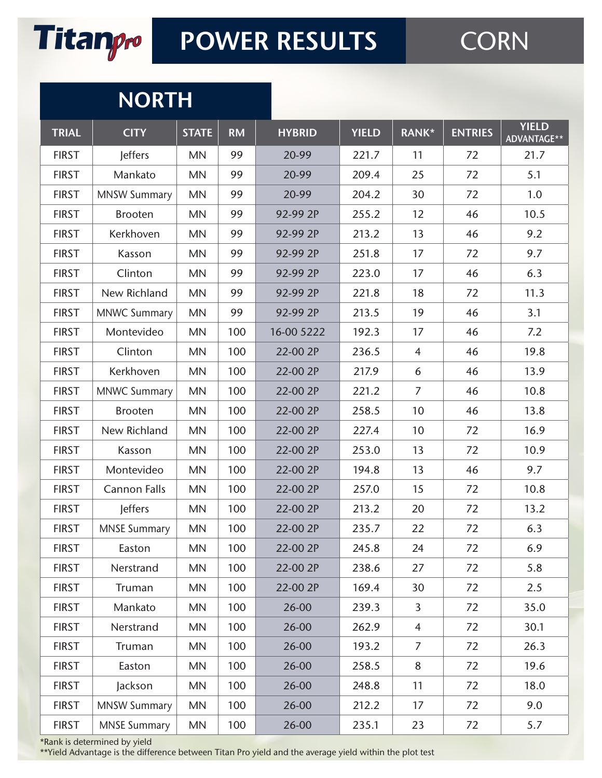

# **CORN**

#### **NORTH**

| <b>TRIAL</b> | <b>CITY</b>         | <b>STATE</b> | <b>RM</b> | <b>HYBRID</b> | <b>YIELD</b> | RANK*          | <b>ENTRIES</b> | <b>YIELD</b><br>ADVANTAGE** |
|--------------|---------------------|--------------|-----------|---------------|--------------|----------------|----------------|-----------------------------|
| <b>FIRST</b> | <b>Jeffers</b>      | <b>MN</b>    | 99        | 20-99         | 221.7        | 11             | 72             | 21.7                        |
| <b>FIRST</b> | Mankato             | <b>MN</b>    | 99        | 20-99         | 209.4        | 25             | 72             | 5.1                         |
| <b>FIRST</b> | <b>MNSW Summary</b> | <b>MN</b>    | 99        | 20-99         | 204.2        | 30             | 72             | 1.0                         |
| <b>FIRST</b> | <b>Brooten</b>      | <b>MN</b>    | 99        | 92-99 2P      | 255.2        | 12             | 46             | 10.5                        |
| <b>FIRST</b> | Kerkhoven           | <b>MN</b>    | 99        | 92-99 2P      | 213.2        | 13             | 46             | 9.2                         |
| <b>FIRST</b> | Kasson              | <b>MN</b>    | 99        | 92-99 2P      | 251.8        | 17             | 72             | 9.7                         |
| <b>FIRST</b> | Clinton             | <b>MN</b>    | 99        | 92-99 2P      | 223.0        | 17             | 46             | 6.3                         |
| <b>FIRST</b> | New Richland        | <b>MN</b>    | 99        | 92-99 2P      | 221.8        | 18             | 72             | 11.3                        |
| <b>FIRST</b> | <b>MNWC Summary</b> | <b>MN</b>    | 99        | 92-99 2P      | 213.5        | 19             | 46             | 3.1                         |
| <b>FIRST</b> | Montevideo          | <b>MN</b>    | 100       | 16-00 5222    | 192.3        | 17             | 46             | 7.2                         |
| <b>FIRST</b> | Clinton             | <b>MN</b>    | 100       | 22-00 2P      | 236.5        | $\overline{4}$ | 46             | 19.8                        |
| <b>FIRST</b> | Kerkhoven           | <b>MN</b>    | 100       | 22-00 2P      | 217.9        | 6              | 46             | 13.9                        |
| <b>FIRST</b> | <b>MNWC Summary</b> | <b>MN</b>    | 100       | 22-00 2P      | 221.2        | $\overline{7}$ | 46             | 10.8                        |
| <b>FIRST</b> | <b>Brooten</b>      | <b>MN</b>    | 100       | 22-00 2P      | 258.5        | 10             | 46             | 13.8                        |
| <b>FIRST</b> | New Richland        | <b>MN</b>    | 100       | 22-00 2P      | 227.4        | 10             | 72             | 16.9                        |
| <b>FIRST</b> | Kasson              | <b>MN</b>    | 100       | 22-00 2P      | 253.0        | 13             | 72             | 10.9                        |
| <b>FIRST</b> | Montevideo          | <b>MN</b>    | 100       | 22-00 2P      | 194.8        | 13             | 46             | 9.7                         |
| <b>FIRST</b> | <b>Cannon Falls</b> | <b>MN</b>    | 100       | 22-00 2P      | 257.0        | 15             | 72             | 10.8                        |
| <b>FIRST</b> | Jeffers             | <b>MN</b>    | 100       | 22-00 2P      | 213.2        | 20             | 72             | 13.2                        |
| <b>FIRST</b> | <b>MNSE Summary</b> | <b>MN</b>    | 100       | 22-00 2P      | 235.7        | 22             | 72             | 6.3                         |
| <b>FIRST</b> | Easton              | MN           | 100       | 22-00 2P      | 245.8        | 24             | 72             | 6.9                         |
| <b>FIRST</b> | Nerstrand           | <b>MN</b>    | 100       | 22-00 2P      | 238.6        | 27             | 72             | 5.8                         |
| <b>FIRST</b> | Truman              | <b>MN</b>    | 100       | 22-00 2P      | 169.4        | 30             | 72             | 2.5                         |
| <b>FIRST</b> | Mankato             | <b>MN</b>    | 100       | 26-00         | 239.3        | $\overline{3}$ | 72             | 35.0                        |
| <b>FIRST</b> | Nerstrand           | <b>MN</b>    | 100       | 26-00         | 262.9        | $\overline{4}$ | 72             | 30.1                        |
| <b>FIRST</b> | Truman              | <b>MN</b>    | 100       | 26-00         | 193.2        | $\overline{7}$ | 72             | 26.3                        |
| <b>FIRST</b> | Easton              | <b>MN</b>    | 100       | 26-00         | 258.5        | 8              | 72             | 19.6                        |
| <b>FIRST</b> | Jackson             | <b>MN</b>    | 100       | 26-00         | 248.8        | 11             | 72             | 18.0                        |
| <b>FIRST</b> | <b>MNSW Summary</b> | <b>MN</b>    | 100       | 26-00         | 212.2        | 17             | 72             | 9.0                         |
| <b>FIRST</b> | <b>MNSE Summary</b> | <b>MN</b>    | 100       | 26-00         | 235.1        | 23             | 72             | 5.7                         |

\*Rank is determined by yield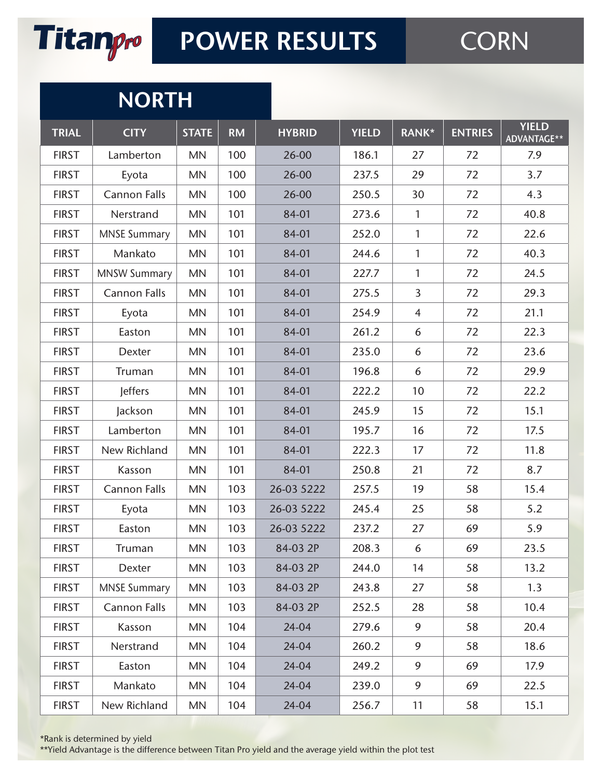

#### **NORTH**

| <b>TRIAL</b> | <b>CITY</b>         | <b>STATE</b> | <b>RM</b> | <b>HYBRID</b> | <b>YIELD</b> | RANK*          | <b>ENTRIES</b> | <b>YIELD</b><br>ADVANTAGE** |
|--------------|---------------------|--------------|-----------|---------------|--------------|----------------|----------------|-----------------------------|
| <b>FIRST</b> | Lamberton           | <b>MN</b>    | 100       | 26-00         | 186.1        | 27             | 72             | 7.9                         |
| <b>FIRST</b> | Eyota               | <b>MN</b>    | 100       | 26-00         | 237.5        | 29             | 72             | 3.7                         |
| <b>FIRST</b> | <b>Cannon Falls</b> | <b>MN</b>    | 100       | 26-00         | 250.5        | 30             | 72             | 4.3                         |
| <b>FIRST</b> | Nerstrand           | <b>MN</b>    | 101       | 84-01         | 273.6        | $\mathbf{1}$   | 72             | 40.8                        |
| <b>FIRST</b> | <b>MNSE Summary</b> | <b>MN</b>    | 101       | 84-01         | 252.0        | 1              | 72             | 22.6                        |
| <b>FIRST</b> | Mankato             | <b>MN</b>    | 101       | 84-01         | 244.6        | 1              | 72             | 40.3                        |
| <b>FIRST</b> | <b>MNSW Summary</b> | <b>MN</b>    | 101       | 84-01         | 227.7        | 1              | 72             | 24.5                        |
| <b>FIRST</b> | <b>Cannon Falls</b> | <b>MN</b>    | 101       | 84-01         | 275.5        | $\overline{3}$ | 72             | 29.3                        |
| <b>FIRST</b> | Eyota               | <b>MN</b>    | 101       | 84-01         | 254.9        | $\overline{4}$ | 72             | 21.1                        |
| <b>FIRST</b> | Easton              | <b>MN</b>    | 101       | 84-01         | 261.2        | 6              | 72             | 22.3                        |
| <b>FIRST</b> | Dexter              | <b>MN</b>    | 101       | 84-01         | 235.0        | 6              | 72             | 23.6                        |
| <b>FIRST</b> | Truman              | <b>MN</b>    | 101       | 84-01         | 196.8        | 6              | 72             | 29.9                        |
| <b>FIRST</b> | <b>Jeffers</b>      | <b>MN</b>    | 101       | 84-01         | 222.2        | 10             | 72             | 22.2                        |
| <b>FIRST</b> | Jackson             | MN           | 101       | 84-01         | 245.9        | 15             | 72             | 15.1                        |
| <b>FIRST</b> | Lamberton           | <b>MN</b>    | 101       | 84-01         | 195.7        | 16             | 72             | 17.5                        |
| <b>FIRST</b> | New Richland        | <b>MN</b>    | 101       | 84-01         | 222.3        | 17             | 72             | 11.8                        |
| <b>FIRST</b> | Kasson              | <b>MN</b>    | 101       | 84-01         | 250.8        | 21             | 72             | 8.7                         |
| <b>FIRST</b> | <b>Cannon Falls</b> | <b>MN</b>    | 103       | 26-03 5222    | 257.5        | 19             | 58             | 15.4                        |
| <b>FIRST</b> | Eyota               | <b>MN</b>    | 103       | 26-03 5222    | 245.4        | 25             | 58             | 5.2                         |
| <b>FIRST</b> | Easton              | <b>MN</b>    | 103       | 26-03 5222    | 237.2        | 27             | 69             | 5.9                         |
| <b>FIRST</b> | Truman              | MN           | 103       | 84-03 2P      | 208.3        | 6              | 69             | 23.5                        |
| <b>FIRST</b> | Dexter              | <b>MN</b>    | 103       | 84-03 2P      | 244.0        | 14             | 58             | 13.2                        |
| <b>FIRST</b> | <b>MNSE Summary</b> | <b>MN</b>    | 103       | 84-03 2P      | 243.8        | 27             | 58             | 1.3                         |
| <b>FIRST</b> | <b>Cannon Falls</b> | <b>MN</b>    | 103       | 84-03 2P      | 252.5        | 28             | 58             | 10.4                        |
| <b>FIRST</b> | Kasson              | <b>MN</b>    | 104       | 24-04         | 279.6        | 9              | 58             | 20.4                        |
| <b>FIRST</b> | Nerstrand           | <b>MN</b>    | 104       | 24-04         | 260.2        | 9              | 58             | 18.6                        |
| <b>FIRST</b> | Easton              | <b>MN</b>    | 104       | 24-04         | 249.2        | 9              | 69             | 17.9                        |
| <b>FIRST</b> | Mankato             | <b>MN</b>    | 104       | 24-04         | 239.0        | 9              | 69             | 22.5                        |
| <b>FIRST</b> | New Richland        | <b>MN</b>    | 104       | 24-04         | 256.7        | 11             | 58             | 15.1                        |

\*Rank is determined by yield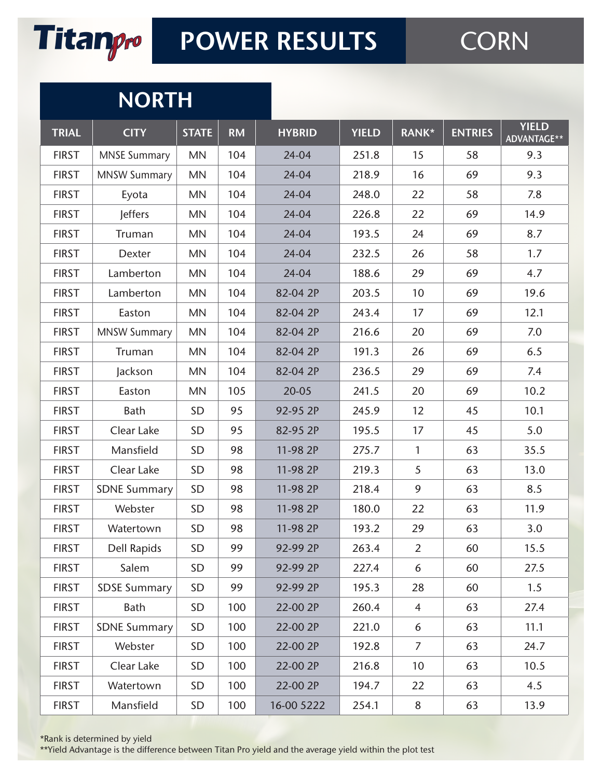

# **CORN**

#### **NORTH**

| <b>TRIAL</b> | <b>CITY</b>         | <b>STATE</b> | <b>RM</b> | <b>HYBRID</b> | <b>YIELD</b> | <b>RANK*</b>    | <b>ENTRIES</b> | <b>YIELD</b><br>ADVANTAGE** |
|--------------|---------------------|--------------|-----------|---------------|--------------|-----------------|----------------|-----------------------------|
| <b>FIRST</b> | <b>MNSE Summary</b> | <b>MN</b>    | 104       | 24-04         | 251.8        | 15              | 58             | 9.3                         |
| <b>FIRST</b> | <b>MNSW Summary</b> | MN           | 104       | 24-04         | 218.9        | 16              | 69             | 9.3                         |
| <b>FIRST</b> | Eyota               | <b>MN</b>    | 104       | 24-04         | 248.0        | 22              | 58             | 7.8                         |
| <b>FIRST</b> | <b>Jeffers</b>      | <b>MN</b>    | 104       | 24-04         | 226.8        | 22              | 69             | 14.9                        |
| <b>FIRST</b> | Truman              | <b>MN</b>    | 104       | 24-04         | 193.5        | 24              | 69             | 8.7                         |
| <b>FIRST</b> | Dexter              | <b>MN</b>    | 104       | 24-04         | 232.5        | 26              | 58             | 1.7                         |
| <b>FIRST</b> | Lamberton           | <b>MN</b>    | 104       | 24-04         | 188.6        | 29              | 69             | 4.7                         |
| <b>FIRST</b> | Lamberton           | MN           | 104       | 82-04 2P      | 203.5        | 10              | 69             | 19.6                        |
| <b>FIRST</b> | Easton              | <b>MN</b>    | 104       | 82-04 2P      | 243.4        | 17              | 69             | 12.1                        |
| <b>FIRST</b> | <b>MNSW Summary</b> | <b>MN</b>    | 104       | 82-04 2P      | 216.6        | 20              | 69             | 7.0                         |
| <b>FIRST</b> | Truman              | <b>MN</b>    | 104       | 82-04 2P      | 191.3        | 26              | 69             | 6.5                         |
| <b>FIRST</b> | Jackson             | <b>MN</b>    | 104       | 82-04 2P      | 236.5        | 29              | 69             | 7.4                         |
| <b>FIRST</b> | Easton              | <b>MN</b>    | 105       | 20-05         | 241.5        | 20              | 69             | 10.2                        |
| <b>FIRST</b> | Bath                | SD           | 95        | 92-95 2P      | 245.9        | 12              | 45             | 10.1                        |
| <b>FIRST</b> | Clear Lake          | SD           | 95        | 82-95 2P      | 195.5        | 17              | 45             | 5.0                         |
| <b>FIRST</b> | Mansfield           | SD           | 98        | 11-98 2P      | 275.7        | $\mathbf{1}$    | 63             | 35.5                        |
| <b>FIRST</b> | Clear Lake          | SD           | 98        | 11-98 2P      | 219.3        | 5               | 63             | 13.0                        |
| <b>FIRST</b> | <b>SDNE Summary</b> | SD           | 98        | 11-98 2P      | 218.4        | 9               | 63             | 8.5                         |
| <b>FIRST</b> | Webster             | SD           | 98        | 11-98 2P      | 180.0        | 22              | 63             | 11.9                        |
| <b>FIRST</b> | Watertown           | SD           | 98        | 11-98 2P      | 193.2        | 29              | 63             | 3.0                         |
| <b>FIRST</b> | <b>Dell Rapids</b>  | SD           | 99        | 92-99 2P      | 263.4        | $\overline{2}$  | 60             | 15.5                        |
| <b>FIRST</b> | Salem               | SD           | 99        | 92-99 2P      | 227.4        | 6               | 60             | 27.5                        |
| <b>FIRST</b> | <b>SDSE Summary</b> | <b>SD</b>    | 99        | 92-99 2P      | 195.3        | 28              | 60             | 1.5                         |
| <b>FIRST</b> | Bath                | SD           | 100       | 22-00 2P      | 260.4        | $\overline{4}$  | 63             | 27.4                        |
| <b>FIRST</b> | <b>SDNE Summary</b> | <b>SD</b>    | 100       | 22-00 2P      | 221.0        | 6               | 63             | 11.1                        |
| <b>FIRST</b> | Webster             | <b>SD</b>    | 100       | 22-00 2P      | 192.8        | $\overline{7}$  | 63             | 24.7                        |
| <b>FIRST</b> | Clear Lake          | <b>SD</b>    | 100       | 22-00 2P      | 216.8        | 10 <sup>°</sup> | 63             | 10.5                        |
| <b>FIRST</b> | Watertown           | <b>SD</b>    | 100       | 22-00 2P      | 194.7        | 22              | 63             | 4.5                         |
| <b>FIRST</b> | Mansfield           | SD           | 100       | 16-00 5222    | 254.1        | 8               | 63             | 13.9                        |

\*Rank is determined by yield